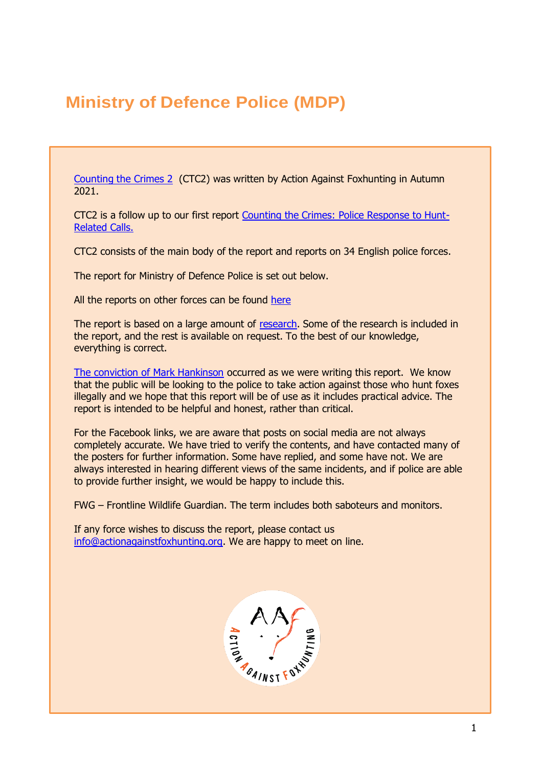# **Ministry of Defence Police (MDP)**

[Counting the Crimes 2](https://www.actionagainstfoxhunting.org/counting-the-crimes2-the-police-response/) (CTC2) was written by Action Against Foxhunting in Autumn 2021.

CTC2 is a follow up to our first report [Counting the Crimes: Police Response to Hunt-](https://www.actionagainstfoxhunting.org/counting-the-crimes/)[Related Calls.](https://www.actionagainstfoxhunting.org/counting-the-crimes/)

CTC2 consists of the main body of the report and reports on 34 English police forces.

The report for Ministry of Defence Police is set out below.

All the reports on other forces can be found [here](https://www.actionagainstfoxhunting.org/counting-the-crimes2-the-police-response/)

The report is based on a large amount of [research.](https://www.actionagainstfoxhunting.org/wp-content/uploads/2021/11/A-1411-Research-for-CTC2.pdf) Some of the research is included in the report, and the rest is available on request. To the best of our knowledge, everything is correct.

[The conviction of Mark Hankinson](https://www.league.org.uk/news-and-resources/news/hunting-office-webinars-the-road-to-conviction/) occurred as we were writing this report. We know that the public will be looking to the police to take action against those who hunt foxes illegally and we hope that this report will be of use as it includes practical advice. The report is intended to be helpful and honest, rather than critical.

For the Facebook links, we are aware that posts on social media are not always completely accurate. We have tried to verify the contents, and have contacted many of the posters for further information. Some have replied, and some have not. We are always interested in hearing different views of the same incidents, and if police are able to provide further insight, we would be happy to include this.

FWG – Frontline Wildlife Guardian. The term includes both saboteurs and monitors.

If any force wishes to discuss the report, please contact us [info@actionagainstfoxhunting.org.](mailto:info@actionagainstfoxhunting.org) We are happy to meet on line.

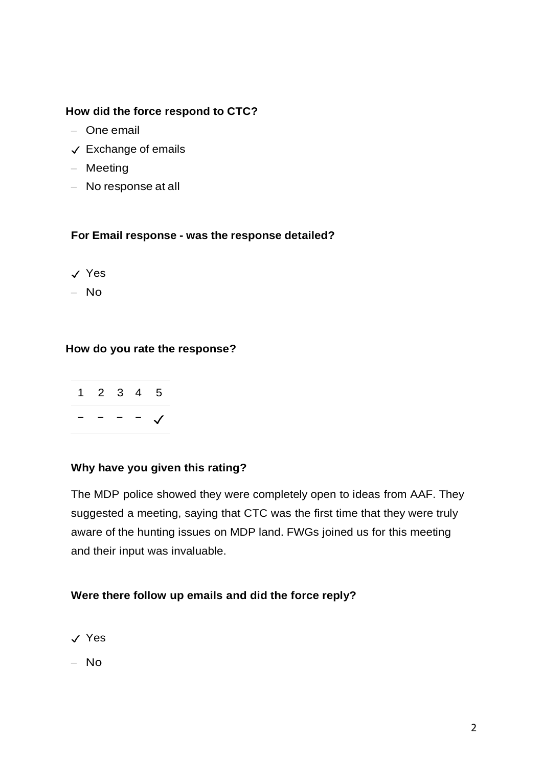## **How did the force respond to CTC?**

- One email
- ✓ Exchange of emails
- Meeting
- No response at all

### **For Email response - was the response detailed?**

- ✓ Yes
- No

### **How do you rate the response?**



### **Why have you given this rating?**

The MDP police showed they were completely open to ideas from AAF. They suggested a meeting, saying that CTC was the first time that they were truly aware of the hunting issues on MDP land. FWGs joined us for this meeting and their input was invaluable.

#### **Were there follow up emails and did the force reply?**

- ✓ Yes
- No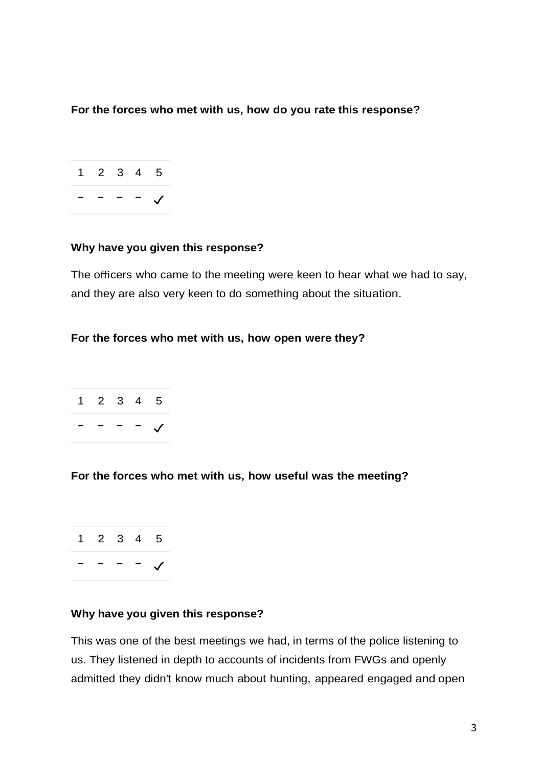### **For the forces who met with us, how do you rate this response?**



### **Why have you given this response?**

The officers who came to the meeting were keen to hear what we had to say, and they are also very keen to do something about the situation.

### **For the forces who met with us, how open were they?**



**For the forces who met with us, how useful was the meeting?**

1 2 3 4 5 − − − − ✓

#### **Why have you given this response?**

This was one of the best meetings we had, in terms of the police listening to us. They listened in depth to accounts of incidents from FWGs and openly admitted they didn't know much about hunting, appeared engaged and open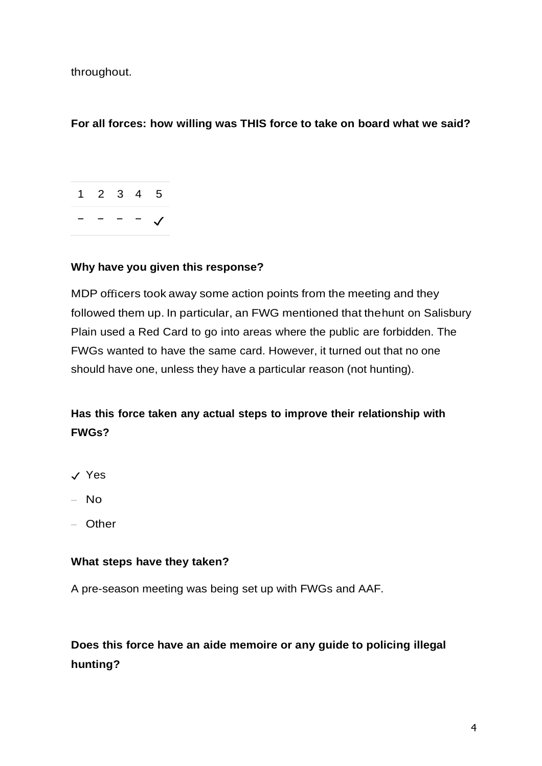throughout.

# **For all forces: how willing was THIS force to take on board what we said?**



### **Why have you given this response?**

MDP officers took away some action points from the meeting and they followed them up. In particular, an FWG mentioned that thehunt on Salisbury Plain used a Red Card to go into areas where the public are forbidden. The FWGs wanted to have the same card. However, it turned out that no one should have one, unless they have a particular reason (not hunting).

# **Has this force taken any actual steps to improve their relationship with FWGs?**

- ✓ Yes
- No
- Other

# **What steps have they taken?**

A pre-season meeting was being set up with FWGs and AAF.

# **Does this force have an aide memoire or any guide to policing illegal hunting?**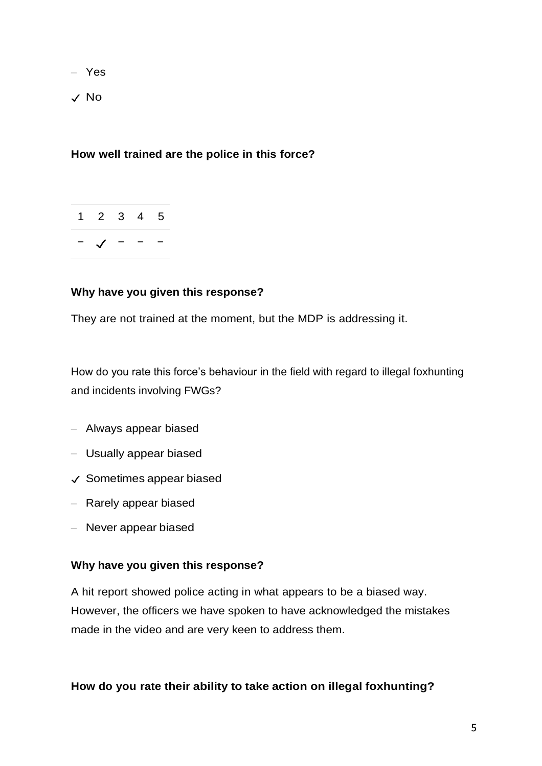– Yes

✓ No

# **How well trained are the police in this force?**



### **Why have you given this response?**

They are not trained at the moment, but the MDP is addressing it.

How do you rate this force's behaviour in the field with regard to illegal foxhunting and incidents involving FWGs?

- Always appear biased
- Usually appear biased
- ✓ Sometimes appear biased
- Rarely appear biased
- Never appear biased

### **Why have you given this response?**

A hit report showed police acting in what appears to be a biased way. However, the officers we have spoken to have acknowledged the mistakes made in the video and are very keen to address them.

### **How do you rate their ability to take action on illegal foxhunting?**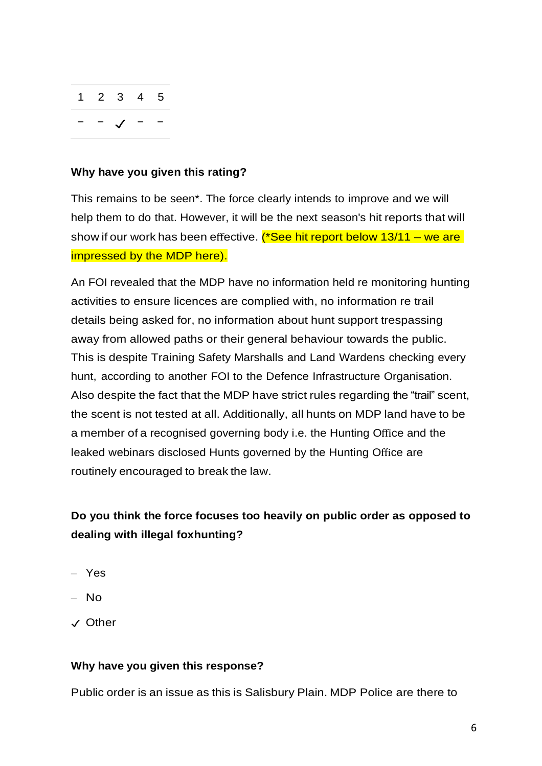

### **Why have you given this rating?**

This remains to be seen\*. The force clearly intends to improve and we will help them to do that. However, it will be the next season's hit reports that will show if our work has been effective. (\*See hit report below  $13/11 -$  we are impressed by the MDP here).

An FOI revealed that the MDP have no information held re monitoring hunting activities to ensure licences are complied with, no information re trail details being asked for, no information about hunt support trespassing away from allowed paths or their general behaviour towards the public. This is despite Training Safety Marshalls and Land Wardens checking every hunt, according to another FOI to the Defence Infrastructure Organisation. Also despite the fact that the MDP have strict rules regarding the "trail" scent, the scent is not tested at all. Additionally, all hunts on MDP land have to be a member of a recognised governing body i.e. the Hunting Office and the leaked webinars disclosed Hunts governed by the Hunting Office are routinely encouraged to break the law.

# **Do you think the force focuses too heavily on public order as opposed to dealing with illegal foxhunting?**

- Yes
- No
- ✓ Other

# **Why have you given this response?**

Public order is an issue as this is Salisbury Plain. MDP Police are there to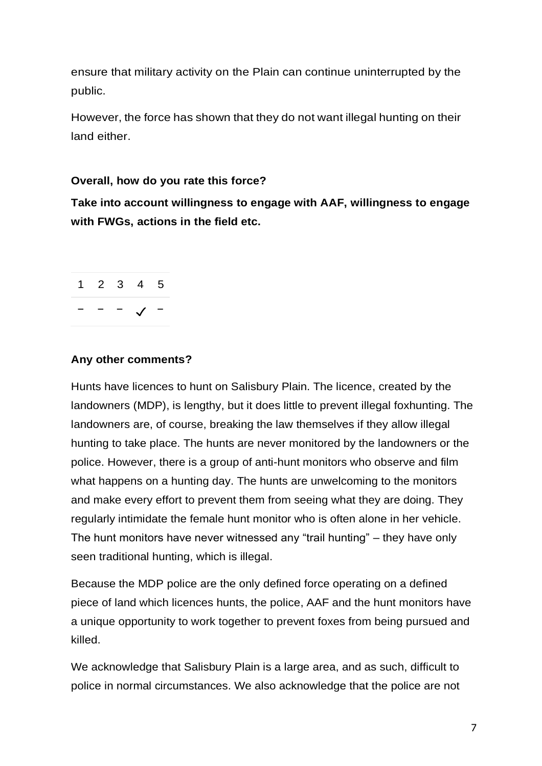ensure that military activity on the Plain can continue uninterrupted by the public.

However, the force has shown that they do not want illegal hunting on their land either.

# **Overall, how do you rate this force?**

**Take into account willingness to engage with AAF, willingness to engage with FWGs, actions in the field etc.**



# **Any other comments?**

Hunts have licences to hunt on Salisbury Plain. The licence, created by the landowners (MDP), is lengthy, but it does little to prevent illegal foxhunting. The landowners are, of course, breaking the law themselves if they allow illegal hunting to take place. The hunts are never monitored by the landowners or the police. However, there is a group of anti-hunt monitors who observe and film what happens on a hunting day. The hunts are unwelcoming to the monitors and make every effort to prevent them from seeing what they are doing. They regularly intimidate the female hunt monitor who is often alone in her vehicle. The hunt monitors have never witnessed any "trail hunting" – they have only seen traditional hunting, which is illegal.

Because the MDP police are the only defined force operating on a defined piece of land which licences hunts, the police, AAF and the hunt monitors have a unique opportunity to work together to prevent foxes from being pursued and killed.

We acknowledge that Salisbury Plain is a large area, and as such, difficult to police in normal circumstances. We also acknowledge that the police are not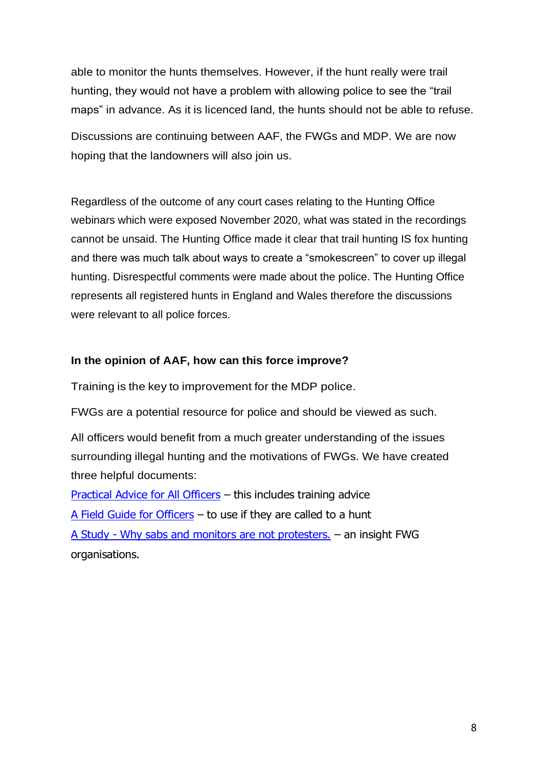able to monitor the hunts themselves. However, if the hunt really were trail hunting, they would not have a problem with allowing police to see the "trail maps" in advance. As it is licenced land, the hunts should not be able to refuse.

Discussions are continuing between AAF, the FWGs and MDP. We are now hoping that the landowners will also join us.

Regardless of the outcome of any court cases relating to the Hunting Office webinars which were exposed November 2020, what was stated in the recordings cannot be unsaid. The Hunting Office made it clear that trail hunting IS fox hunting and there was much talk about ways to create a "smokescreen" to cover up illegal hunting. Disrespectful comments were made about the police. The Hunting Office represents all registered hunts in England and Wales therefore the discussions were relevant to all police forces.

### **In the opinion of AAF, how can this force improve?**

Training is the key to improvement for the MDP police.

FWGs are a potential resource for police and should be viewed as such.

All officers would benefit from a much greater understanding of the issues surrounding illegal hunting and the motivations of FWGs. We have created three helpful documents:

[Practical Advice for All Officers](https://www.actionagainstfoxhunting.org/wp-content/uploads/2021/11/B-1411-Practical-Advice-for-all-Police-Forces.pdf) – this includes training advice [A Field Guide for Officers](https://www.actionagainstfoxhunting.org/wp-content/uploads/2021/11/A-1411-FIELD-GUIDE-ILLEGAL-FOXHUNTING.pdf) – to use if they are called to a hunt A Study - [Why sabs and monitors are not protesters.](https://www.actionagainstfoxhunting.org/wp-content/uploads/2021/11/A-1411-Why-sabs-and-monitors-arent-protesters.pdf) – an insight FWG organisations.